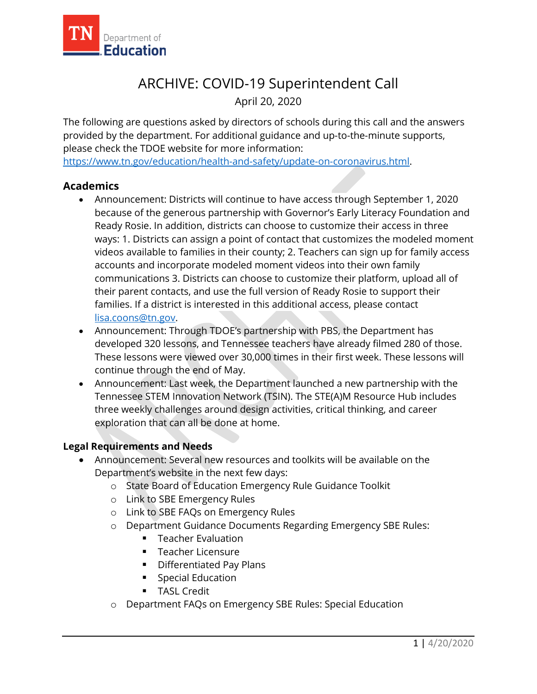

# ARCHIVE: COVID-19 Superintendent Call

April 20, 2020

The following are questions asked by directors of schools during this call and the answers provided by the department. For additional guidance and up-to-the-minute supports, please check the TDOE website for more information:

[https://www.tn.gov/education/health-and-safety/update-on-coronavirus.html.](https://www.tn.gov/education/health-and-safety/update-on-coronavirus.html)

## **Academics**

- Announcement: Districts will continue to have access through September 1, 2020 because of the generous partnership with Governor's Early Literacy Foundation and Ready Rosie. In addition, districts can choose to customize their access in three ways: 1. Districts can assign a point of contact that customizes the modeled moment videos available to families in their county; 2. Teachers can sign up for family access accounts and incorporate modeled moment videos into their own family communications 3. Districts can choose to customize their platform, upload all of their parent contacts, and use the full version of Ready Rosie to support their families. If a district is interested in this additional access, please contact [lisa.coons@tn.gov.](mailto:lisa.coons@tn.gov)
- Announcement: Through TDOE's partnership with PBS, the Department has developed 320 lessons, and Tennessee teachers have already filmed 280 of those. These lessons were viewed over 30,000 times in their first week. These lessons will continue through the end of May.
- Announcement: Last week, the Department launched a new partnership with the Tennessee STEM Innovation Network (TSIN). The STE(A)M Resource Hub includes three weekly challenges around design activities, critical thinking, and career exploration that can all be done at home.

#### **Legal Requirements and Needs**

- Announcement: Several new resources and toolkits will be available on the Department's website in the next few days:
	- o State Board of Education Emergency Rule Guidance Toolkit
	- o Link to SBE Emergency Rules
	- o Link to SBE FAQs on Emergency Rules
	- o Department Guidance Documents Regarding Emergency SBE Rules:
		- **Teacher Evaluation**
		- **Teacher Licensure**
		- **•** Differentiated Pay Plans
		- **Special Education**
		- **TASL Credit**
	- o Department FAQs on Emergency SBE Rules: Special Education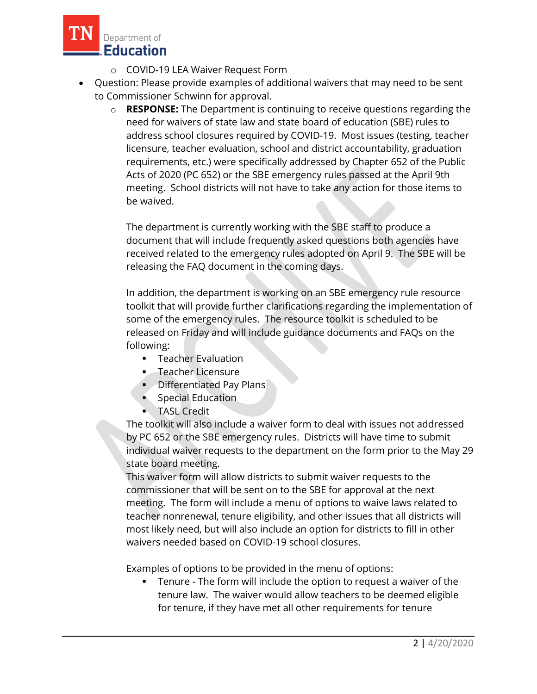

- o COVID-19 LEA Waiver Request Form
- Question: Please provide examples of additional waivers that may need to be sent to Commissioner Schwinn for approval.
	- o **RESPONSE:** The Department is continuing to receive questions regarding the need for waivers of state law and state board of education (SBE) rules to address school closures required by COVID-19. Most issues (testing, teacher licensure, teacher evaluation, school and district accountability, graduation requirements, etc.) were specifically addressed by Chapter 652 of the Public Acts of 2020 (PC 652) or the SBE emergency rules passed at the April 9th meeting. School districts will not have to take any action for those items to be waived.

The department is currently working with the SBE staff to produce a document that will include frequently asked questions both agencies have received related to the emergency rules adopted on April 9. The SBE will be releasing the FAQ document in the coming days.

In addition, the department is working on an SBE emergency rule resource toolkit that will provide further clarifications regarding the implementation of some of the emergency rules. The resource toolkit is scheduled to be released on Friday and will include guidance documents and FAQs on the following:

- **F** Teacher Evaluation
- **Teacher Licensure**
- **•** Differentiated Pay Plans
- Special Education
- **TASL Credit**

The toolkit will also include a waiver form to deal with issues not addressed by PC 652 or the SBE emergency rules. Districts will have time to submit individual waiver requests to the department on the form prior to the May 29 state board meeting.

This waiver form will allow districts to submit waiver requests to the commissioner that will be sent on to the SBE for approval at the next meeting. The form will include a menu of options to waive laws related to teacher nonrenewal, tenure eligibility, and other issues that all districts will most likely need, but will also include an option for districts to fill in other waivers needed based on COVID-19 school closures.

Examples of options to be provided in the menu of options:

 Tenure - The form will include the option to request a waiver of the tenure law. The waiver would allow teachers to be deemed eligible for tenure, if they have met all other requirements for tenure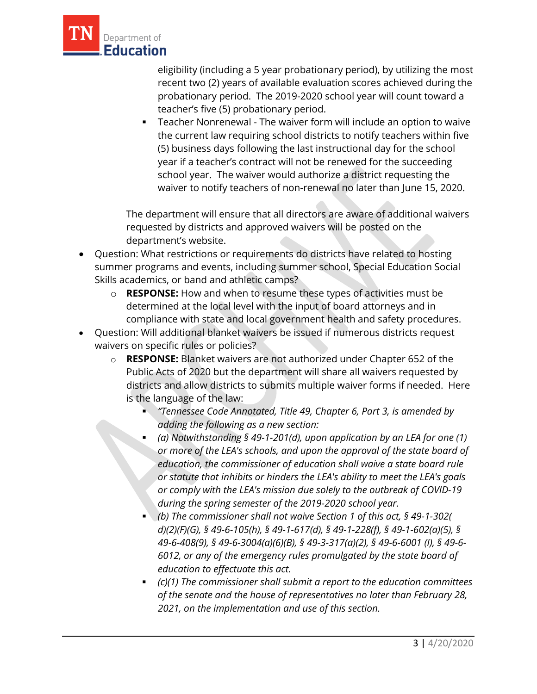

eligibility (including a 5 year probationary period), by utilizing the most recent two (2) years of available evaluation scores achieved during the probationary period. The 2019-2020 school year will count toward a teacher's five (5) probationary period.

 Teacher Nonrenewal - The waiver form will include an option to waive the current law requiring school districts to notify teachers within five (5) business days following the last instructional day for the school year if a teacher's contract will not be renewed for the succeeding school year. The waiver would authorize a district requesting the waiver to notify teachers of non-renewal no later than June 15, 2020.

The department will ensure that all directors are aware of additional waivers requested by districts and approved waivers will be posted on the department's website.

- Question: What restrictions or requirements do districts have related to hosting summer programs and events, including summer school, Special Education Social Skills academics, or band and athletic camps?
	- o **RESPONSE:** How and when to resume these types of activities must be determined at the local level with the input of board attorneys and in compliance with state and local government health and safety procedures.
- Question: Will additional blanket waivers be issued if numerous districts request waivers on specific rules or policies?
	- o **RESPONSE:** Blanket waivers are not authorized under Chapter 652 of the Public Acts of 2020 but the department will share all waivers requested by districts and allow districts to submits multiple waiver forms if needed. Here is the language of the law:
		- *"Tennessee Code Annotated, Title 49, Chapter 6, Part 3, is amended by adding the following as a new section:*
		- *(a) Notwithstanding § 49-1-201(d), upon application by an LEA for one (1) or more of the LEA's schools, and upon the approval of the state board of education, the commissioner of education shall waive a state board rule or statute that inhibits or hinders the LEA's ability to meet the LEA's goals or comply with the LEA's mission due solely to the outbreak of COVID-19 during the spring semester of the 2019-2020 school year.*
		- *(b) The commissioner shall not waive Section 1 of this act, § 49-1-302( d)(2)(F)(G), § 49-6-105(h), § 49-1-617(d), § 49-1-228(f), § 49-1-602(a)(5), § 49-6-408(9), § 49-6-3004(a)(6)(B), § 49-3-317(a)(2), § 49-6-6001 (I), § 49-6- 6012, or any of the emergency rules promulgated by the state board of education to effectuate this act.*
		- *(c)(1) The commissioner shall submit a report to the education committees of the senate and the house of representatives no later than February 28, 2021, on the implementation and use of this section.*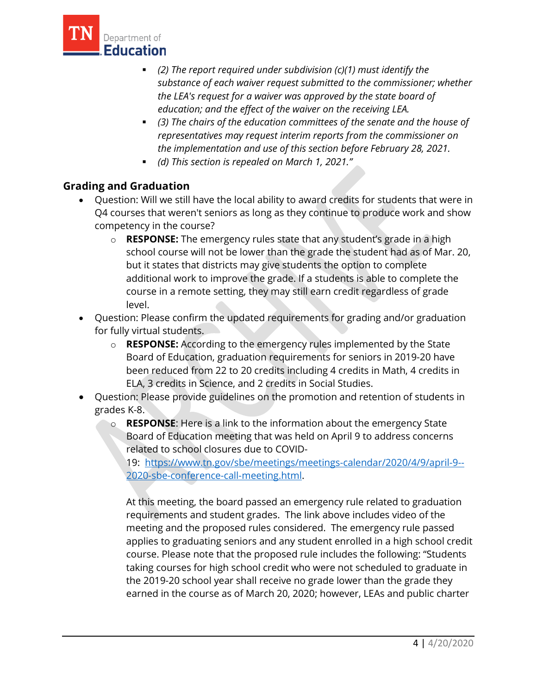

- *(2) The report required under subdivision (c)(1) must identify the substance of each waiver request submitted to the commissioner; whether the LEA's request for a waiver was approved by the state board of education; and the effect of the waiver on the receiving LEA.*
- *(3) The chairs of the education committees of the senate and the house of representatives may request interim reports from the commissioner on the implementation and use of this section before February 28, 2021.*
- *(d) This section is repealed on March 1, 2021."*

## **Grading and Graduation**

- Question: Will we still have the local ability to award credits for students that were in Q4 courses that weren't seniors as long as they continue to produce work and show competency in the course?
	- o **RESPONSE:** The emergency rules state that any student's grade in a high school course will not be lower than the grade the student had as of Mar. 20, but it states that districts may give students the option to complete additional work to improve the grade. If a students is able to complete the course in a remote setting, they may still earn credit regardless of grade level.
- Question: Please confirm the updated requirements for grading and/or graduation for fully virtual students.
	- o **RESPONSE:** According to the emergency rules implemented by the State Board of Education, graduation requirements for seniors in 2019-20 have been reduced from 22 to 20 credits including 4 credits in Math, 4 credits in ELA, 3 credits in Science, and 2 credits in Social Studies.
- Question: Please provide guidelines on the promotion and retention of students in grades K-8.
	- o **RESPONSE**: Here is a link to the information about the emergency State Board of Education meeting that was held on April 9 to address concerns related to school closures due to COVID-

19: [https://www.tn.gov/sbe/meetings/meetings-calendar/2020/4/9/april-9--](https://www.tn.gov/sbe/meetings/meetings-calendar/2020/4/9/april-9--2020-sbe-conference-call-meeting.html) [2020-sbe-conference-call-meeting.html.](https://www.tn.gov/sbe/meetings/meetings-calendar/2020/4/9/april-9--2020-sbe-conference-call-meeting.html)

At this meeting, the board passed an emergency rule related to graduation requirements and student grades. The link above includes video of the meeting and the proposed rules considered. The emergency rule passed applies to graduating seniors and any student enrolled in a high school credit course. Please note that the proposed rule includes the following: "Students taking courses for high school credit who were not scheduled to graduate in the 2019-20 school year shall receive no grade lower than the grade they earned in the course as of March 20, 2020; however, LEAs and public charter